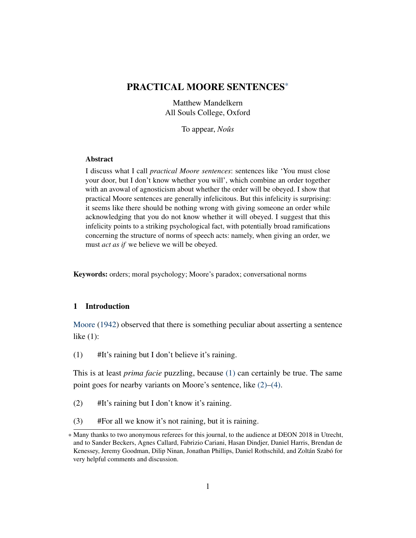# <span id="page-0-3"></span>PRACTICAL MOORE SENTENCES\*

Matthew Mandelkern All Souls College, Oxford

To appear, *Noûs*

### Abstract

I discuss what I call *practical Moore sentences*: sentences like 'You must close your door, but I don't know whether you will', which combine an order together with an avowal of agnosticism about whether the order will be obeyed. I show that practical Moore sentences are generally infelicitous. But this infelicity is surprising: it seems like there should be nothing wrong with giving someone an order while acknowledging that you do not know whether it will obeyed. I suggest that this infelicity points to a striking psychological fact, with potentially broad ramifications concerning the structure of norms of speech acts: namely, when giving an order, we must *act as if* we believe we will be obeyed.

Keywords: orders; moral psychology; Moore's paradox; conversational norms

# 1 Introduction

[Moore](#page-30-0) [\(1942\)](#page-30-0) observed that there is something peculiar about asserting a sentence like (1):

<span id="page-0-0"></span>(1) #It's raining but I don't believe it's raining.

This is at least *prima facie* puzzling, because [\(1\)](#page-0-0) can certainly be true. The same point goes for nearby variants on Moore's sentence, like [\(2\)](#page-0-1)[–\(4\).](#page-0-2)

- <span id="page-0-1"></span>(2) #It's raining but I don't know it's raining.
- (3) #For all we know it's not raining, but it is raining.

<span id="page-0-2"></span><sup>\*</sup> Many thanks to two anonymous referees for this journal, to the audience at DEON 2018 in Utrecht, and to Sander Beckers, Agnes Callard, Fabrizio Cariani, Hasan Dindjer, Daniel Harris, Brendan de Kenessey, Jeremy Goodman, Dilip Ninan, Jonathan Phillips, Daniel Rothschild, and Zoltán Szabó for very helpful comments and discussion.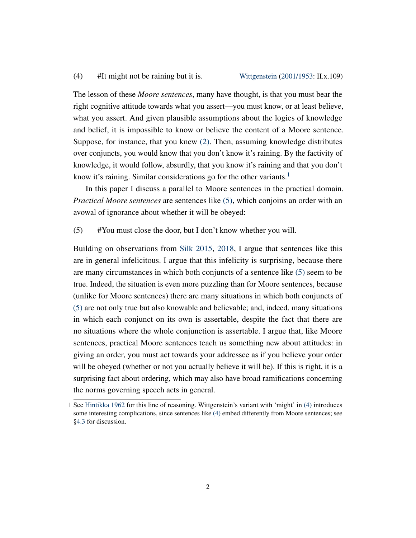## (4) #It might not be raining but it is. [Wittgenstein](#page-31-0) [\(2001/1953:](#page-31-0) II.x.109)

The lesson of these *Moore sentences*, many have thought, is that you must bear the right cognitive attitude towards what you assert—you must know, or at least believe, what you assert. And given plausible assumptions about the logics of knowledge and belief, it is impossible to know or believe the content of a Moore sentence. Suppose, for instance, that you knew [\(2\).](#page-0-1) Then, assuming knowledge distributes over conjuncts, you would know that you don't know it's raining. By the factivity of knowledge, it would follow, absurdly, that you know it's raining and that you don't know it's raining. Similar considerations go for the other variants.<sup>[1](#page-0-3)</sup>

In this paper I discuss a parallel to Moore sentences in the practical domain. *Practical Moore sentences* are sentences like [\(5\),](#page-1-0) which conjoins an order with an avowal of ignorance about whether it will be obeyed:

<span id="page-1-0"></span>(5) #You must close the door, but I don't know whether you will.

Building on observations from [Silk](#page-31-1) [2015,](#page-31-1) [2018,](#page-31-2) I argue that sentences like this are in general infelicitous. I argue that this infelicity is surprising, because there are many circumstances in which both conjuncts of a sentence like [\(5\)](#page-1-0) seem to be true. Indeed, the situation is even more puzzling than for Moore sentences, because (unlike for Moore sentences) there are many situations in which both conjuncts of [\(5\)](#page-1-0) are not only true but also knowable and believable; and, indeed, many situations in which each conjunct on its own is assertable, despite the fact that there are no situations where the whole conjunction is assertable. I argue that, like Moore sentences, practical Moore sentences teach us something new about attitudes: in giving an order, you must act towards your addressee as if you believe your order will be obeyed (whether or not you actually believe it will be). If this is right, it is a surprising fact about ordering, which may also have broad ramifications concerning the norms governing speech acts in general.

<sup>1</sup> See [Hintikka](#page-30-1) [1962](#page-30-1) for this line of reasoning. Wittgenstein's variant with 'might' in [\(4\)](#page-0-2) introduces some interesting complications, since sentences like [\(4\)](#page-0-2) embed differently from Moore sentences; see [§4.3](#page-12-0) for discussion.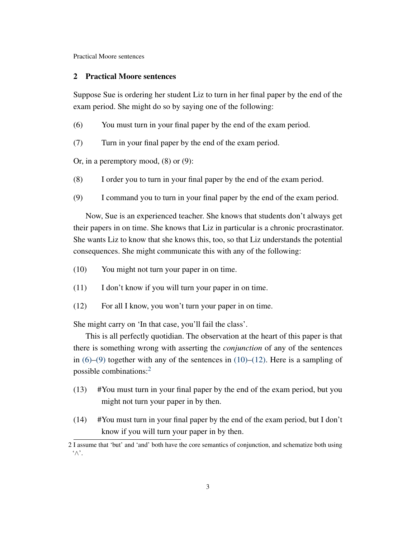# 2 Practical Moore sentences

Suppose Sue is ordering her student Liz to turn in her final paper by the end of the exam period. She might do so by saying one of the following:

- <span id="page-2-0"></span>(6) You must turn in your final paper by the end of the exam period.
- (7) Turn in your final paper by the end of the exam period.

Or, in a peremptory mood, (8) or (9):

- (8) I order you to turn in your final paper by the end of the exam period.
- <span id="page-2-1"></span>(9) I command you to turn in your final paper by the end of the exam period.

Now, Sue is an experienced teacher. She knows that students don't always get their papers in on time. She knows that Liz in particular is a chronic procrastinator. She wants Liz to know that she knows this, too, so that Liz understands the potential consequences. She might communicate this with any of the following:

- <span id="page-2-2"></span>(10) You might not turn your paper in on time.
- (11) I don't know if you will turn your paper in on time.
- <span id="page-2-3"></span>(12) For all I know, you won't turn your paper in on time.

She might carry on 'In that case, you'll fail the class'.

This is all perfectly quotidian. The observation at the heart of this paper is that there is something wrong with asserting the *conjunction* of any of the sentences in  $(6)$ – $(9)$  together with any of the sentences in  $(10)$ – $(12)$ . Here is a sampling of possible combinations:[2](#page-0-3)

- <span id="page-2-4"></span>(13) #You must turn in your final paper by the end of the exam period, but you might not turn your paper in by then.
- (14) #You must turn in your final paper by the end of the exam period, but I don't know if you will turn your paper in by then.

<sup>2</sup> I assume that 'but' and 'and' both have the core semantics of conjunction, and schematize both using '∧'.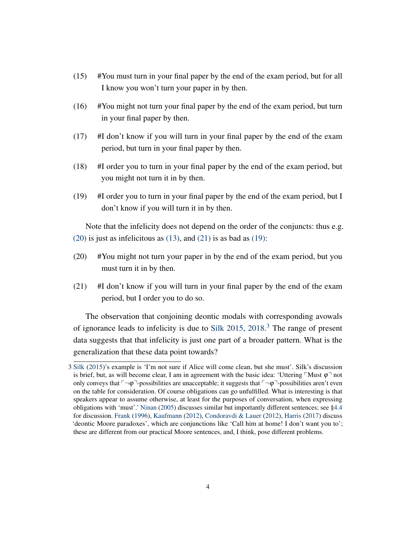- (15) #You must turn in your final paper by the end of the exam period, but for all I know you won't turn your paper in by then.
- (16) #You might not turn your final paper by the end of the exam period, but turn in your final paper by then.
- (17) #I don't know if you will turn in your final paper by the end of the exam period, but turn in your final paper by then.
- (18) #I order you to turn in your final paper by the end of the exam period, but you might not turn it in by then.
- <span id="page-3-2"></span>(19) #I order you to turn in your final paper by the end of the exam period, but I don't know if you will turn it in by then.

Note that the infelicity does not depend on the order of the conjuncts: thus e.g.  $(20)$  is just as infelicitous as  $(13)$ , and  $(21)$  is as bad as  $(19)$ :

- <span id="page-3-0"></span>(20) #You might not turn your paper in by the end of the exam period, but you must turn it in by then.
- <span id="page-3-1"></span>(21) #I don't know if you will turn in your final paper by the end of the exam period, but I order you to do so.

The observation that conjoining deontic modals with corresponding avowals of ignorance leads to infelicity is due to [Silk](#page-31-1)  $2015$ ,  $2018$ <sup>[3](#page-0-3)</sup>. The range of present data suggests that that infelicity is just one part of a broader pattern. What is the generalization that these data point towards?

<sup>3</sup> [Silk](#page-31-1) [\(2015\)](#page-31-1)'s example is 'I'm not sure if Alice will come clean, but she must'. Silk's discussion is brief, but, as will become clear, I am in agreement with the basic idea: 'Uttering  $\ulcorner$ Must  $\varphi \urcorner$  not only conveys that  $\Box \phi$ -possibilities are unacceptable; it suggests that  $\Box \phi$ -possibilities aren't even on the table for consideration. Of course obligations can go unfulfilled. What is interesting is that speakers appear to assume otherwise, at least for the purposes of conversation, when expressing obligations with 'must'.' [Ninan](#page-30-2) [\(2005\)](#page-30-2) discusses similar but importantly different sentences; see [§4.4](#page-17-0) for discussion. [Frank](#page-29-0) [\(1996\)](#page-29-0), [Kaufmann](#page-30-3) [\(2012\)](#page-30-3), [Condoravdi & Lauer](#page-29-1) [\(2012\)](#page-29-1), [Harris](#page-30-4) [\(2017\)](#page-30-4) discuss 'deontic Moore paradoxes', which are conjunctions like 'Call him at home! I don't want you to'; these are different from our practical Moore sentences, and, I think, pose different problems.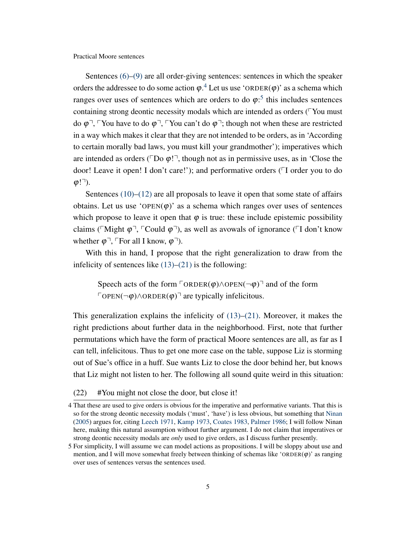Sentences [\(6\)](#page-2-0)[–\(9\)](#page-2-1) are all order-giving sentences: sentences in which the speaker orders the addressee to do some action  $\varphi$ .<sup>[4](#page-0-3)</sup> Let us use 'ORDER( $\varphi$ )' as a schema which ranges over uses of sentences which are orders to do  $\varphi$ :<sup>[5](#page-0-3)</sup> this includes sentences containing strong deontic necessity modals which are intended as orders  $($  $\ulcorner$  You must do  $\varphi$ <sup>-</sup>,  $\Box$  You have to do  $\varphi$ <sup>-</sup>,  $\Box$  You can't do  $\varphi$ <sup>-</sup>; though not when these are restricted in a way which makes it clear that they are not intended to be orders, as in 'According to certain morally bad laws, you must kill your grandmother'); imperatives which are intended as orders ( $\Box$ Do  $\varphi$ ! $\Box$ , though not as in permissive uses, as in 'Close the door! Leave it open! I don't care!'); and performative orders  $(\ulcorner I$  order you to do  $\varphi$ !].

Sentences  $(10)$ – $(12)$  are all proposals to leave it open that some state of affairs obtains. Let us use ' $OPEN(\varphi)$ ' as a schema which ranges over uses of sentences which propose to leave it open that  $\varphi$  is true: these include epistemic possibility claims ( $\lceil \text{Might } \varphi \rceil$ ,  $\lceil \text{Could } \varphi \rceil$ ), as well as avowals of ignorance ( $\lceil \text{I don't know} \rceil$ whether  $\varphi$ <sup> $\exists$ </sup>, For all I know,  $\varphi$ <sup> $\exists$ </sup>).

With this in hand, I propose that the right generalization to draw from the infelicity of sentences like [\(13\)–](#page-2-4)[\(21\)](#page-3-1) is the following:

Speech acts of the form  $\ulcorner$ ORDER $(\phi) \land$ OPEN $(\neg \phi)$  $\urcorner$  and of the form  $\ulcorner$  OPEN( $\neg \phi$ ) $\land$ ORDER( $\phi$ ) $\urcorner$  are typically infelicitous.

This generalization explains the infelicity of [\(13\)](#page-2-4)[–\(21\).](#page-3-1) Moreover, it makes the right predictions about further data in the neighborhood. First, note that further permutations which have the form of practical Moore sentences are all, as far as I can tell, infelicitous. Thus to get one more case on the table, suppose Liz is storming out of Sue's office in a huff. Sue wants Liz to close the door behind her, but knows that Liz might not listen to her. The following all sound quite weird in this situation:

(22) #You might not close the door, but close it!

<sup>4</sup> That these are used to give orders is obvious for the imperative and performative variants. That this is so for the strong deontic necessity modals ('must', 'have') is less obvious, but something that [Ninan](#page-30-2) [\(2005\)](#page-30-2) argues for, citing [Leech](#page-30-5) [1971,](#page-30-5) [Kamp](#page-30-6) [1973,](#page-30-6) [Coates](#page-29-2) [1983,](#page-29-2) [Palmer](#page-30-7) [1986;](#page-30-7) I will follow Ninan here, making this natural assumption without further argument. I do not claim that imperatives or strong deontic necessity modals are *only* used to give orders, as I discuss further presently.

<sup>5</sup> For simplicity, I will assume we can model actions as propositions. I will be sloppy about use and mention, and I will move somewhat freely between thinking of schemas like 'ORDER $(\varphi)$ ' as ranging over uses of sentences versus the sentences used.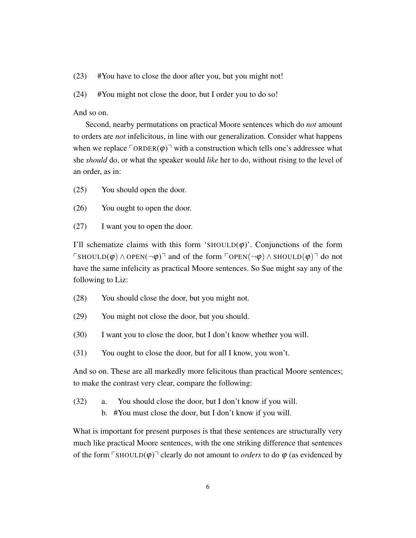- (23) #You have to close the door after you, but you might not!
- (24) #You might not close the door, but I order you to do so!

# And so on.

Second, nearby permutations on practical Moore sentences which do *not* amount to orders are *not* infelicitous, in line with our generalization. Consider what happens when we replace  $\lceil$ ORDER $(\varphi)$ <sup> $\lceil$ </sup> with a construction which tells one's addressee what she *should* do, or what the speaker would *like* her to do, without rising to the level of an order, as in:

(25) You should open the door.

- (26) You ought to open the door.
- (27) I want you to open the door.

I'll schematize claims with this form 'SHOULD $(\varphi)$ '. Conjunctions of the form  $\ulcorner$ SHOULD( $\varphi$ )  $\land$  OPEN( $\neg \varphi$ ) $\urcorner$  and of the form  $\ulcorner$  OPEN( $\neg \varphi$ )  $\land$  SHOULD( $\varphi$ ) $\urcorner$  do not have the same infelicity as practical Moore sentences. So Sue might say any of the following to Liz:

- (28) You should close the door, but you might not.
- (29) You might not close the door, but you should.
- (30) I want you to close the door, but I don't know whether you will.
- (31) You ought to close the door, but for all I know, you won't.

And so on. These are all markedly more felicitous than practical Moore sentences; to make the contrast very clear, compare the following:

- (32) a. You should close the door, but I don't know if you will.
	- b. #You must close the door, but I don't know if you will.

What is important for present purposes is that these sentences are structurally very much like practical Moore sentences, with the one striking difference that sentences of the form  $\ulcorner$ SHOULD( $\varphi$ ) $\urcorner$  clearly do not amount to *orders* to do  $\varphi$  (as evidenced by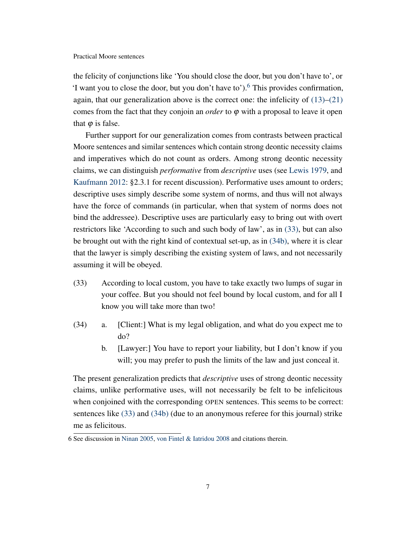the felicity of conjunctions like 'You should close the door, but you don't have to', or 'I want you to close the door, but you don't have to').<sup>[6](#page-0-3)</sup> This provides confirmation, again, that our generalization above is the correct one: the infelicity of [\(13\)](#page-2-4)[–\(21\)](#page-3-1) comes from the fact that they conjoin an *order* to  $\varphi$  with a proposal to leave it open that  $\varphi$  is false.

Further support for our generalization comes from contrasts between practical Moore sentences and similar sentences which contain strong deontic necessity claims and imperatives which do not count as orders. Among strong deontic necessity claims, we can distinguish *performative* from *descriptive* uses (see [Lewis](#page-30-8) [1979,](#page-30-8) and [Kaufmann](#page-30-3) [2012:](#page-30-3) §2.3.1 for recent discussion). Performative uses amount to orders; descriptive uses simply describe some system of norms, and thus will not always have the force of commands (in particular, when that system of norms does not bind the addressee). Descriptive uses are particularly easy to bring out with overt restrictors like 'According to such and such body of law', as in [\(33\),](#page-6-0) but can also be brought out with the right kind of contextual set-up, as in [\(34b\),](#page-6-1) where it is clear that the lawyer is simply describing the existing system of laws, and not necessarily assuming it will be obeyed.

- <span id="page-6-0"></span>(33) According to local custom, you have to take exactly two lumps of sugar in your coffee. But you should not feel bound by local custom, and for all I know you will take more than two!
- <span id="page-6-1"></span>(34) a. [Client:] What is my legal obligation, and what do you expect me to do?
	- b. [Lawyer:] You have to report your liability, but I don't know if you will; you may prefer to push the limits of the law and just conceal it.

The present generalization predicts that *descriptive* uses of strong deontic necessity claims, unlike performative uses, will not necessarily be felt to be infelicitous when conjoined with the corresponding OPEN sentences. This seems to be correct: sentences like [\(33\)](#page-6-0) and [\(34b\)](#page-6-1) (due to an anonymous referee for this journal) strike me as felicitous.

<sup>6</sup> See discussion in [Ninan](#page-30-2) [2005,](#page-30-2) [von Fintel & Iatridou](#page-29-3) [2008](#page-29-3) and citations therein.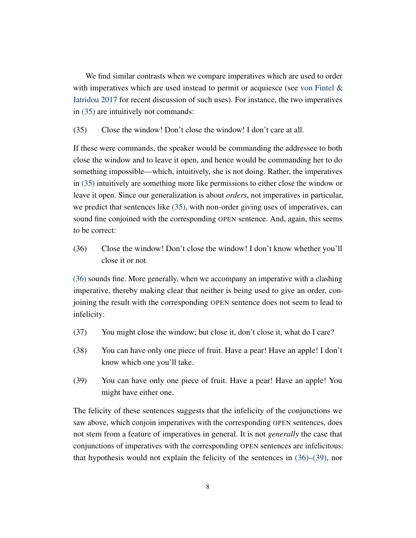We find similar contrasts when we compare imperatives which are used to order with imperatives which are used instead to permit or acquiesce (see von Fintel  $\&$ [Iatridou](#page-29-4) [2017](#page-29-4) for recent discussion of such uses). For instance, the two imperatives in [\(35\)](#page-7-0) are intuitively not commands:

<span id="page-7-0"></span>(35) Close the window! Don't close the window! I don't care at all.

If these were commands, the speaker would be commanding the addressee to both close the window and to leave it open, and hence would be commanding her to do something impossible—which, intuitively, she is not doing. Rather, the imperatives in [\(35\)](#page-7-0) intuitively are something more like permissions to either close the window or leave it open. Since our generalization is about *orders*, not imperatives in particular, we predict that sentences like [\(35\),](#page-7-0) with non-order giving uses of imperatives, can sound fine conjoined with the corresponding OPEN sentence. And, again, this seems to be correct:

<span id="page-7-1"></span>(36) Close the window! Don't close the window! I don't know whether you'll close it or not.

[\(36\)](#page-7-1) sounds fine. More generally, when we accompany an imperative with a clashing imperative, thereby making clear that neither is being used to give an order, conjoining the result with the corresponding OPEN sentence does not seem to lead to infelicity:

- (37) You might close the window; but close it, don't close it, what do I care?
- (38) You can have only one piece of fruit. Have a pear! Have an apple! I don't know which one you'll take.
- <span id="page-7-2"></span>(39) You can have only one piece of fruit. Have a pear! Have an apple! You might have either one.

The felicity of these sentences suggests that the infelicity of the conjunctions we saw above, which conjoin imperatives with the corresponding OPEN sentences, does not stem from a feature of imperatives in general. It is not *generally* the case that conjunctions of imperatives with the corresponding OPEN sentences are infelicitous: that hypothesis would not explain the felicity of the sentences in [\(36\)–](#page-7-1)[\(39\),](#page-7-2) nor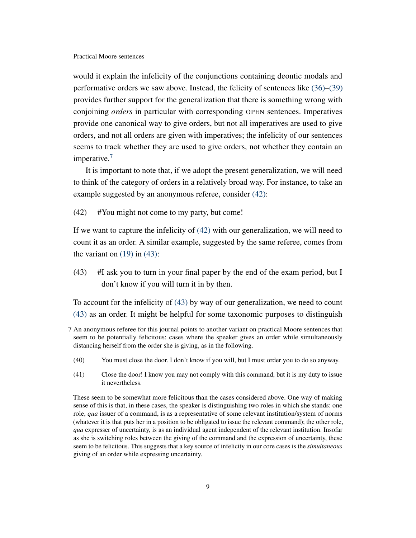would it explain the infelicity of the conjunctions containing deontic modals and performative orders we saw above. Instead, the felicity of sentences like [\(36\)–](#page-7-1)[\(39\)](#page-7-2) provides further support for the generalization that there is something wrong with conjoining *orders* in particular with corresponding OPEN sentences. Imperatives provide one canonical way to give orders, but not all imperatives are used to give orders, and not all orders are given with imperatives; the infelicity of our sentences seems to track whether they are used to give orders, not whether they contain an imperative.<sup>[7](#page-0-3)</sup>

It is important to note that, if we adopt the present generalization, we will need to think of the category of orders in a relatively broad way. For instance, to take an example suggested by an anonymous referee, consider [\(42\):](#page-8-0)

<span id="page-8-0"></span>(42) #You might not come to my party, but come!

If we want to capture the infelicity of [\(42\)](#page-8-0) with our generalization, we will need to count it as an order. A similar example, suggested by the same referee, comes from the variant on  $(19)$  in  $(43)$ :

<span id="page-8-1"></span>(43) #I ask you to turn in your final paper by the end of the exam period, but I don't know if you will turn it in by then.

To account for the infelicity of [\(43\)](#page-8-1) by way of our generalization, we need to count [\(43\)](#page-8-1) as an order. It might be helpful for some taxonomic purposes to distinguish

<sup>7</sup> An anonymous referee for this journal points to another variant on practical Moore sentences that seem to be potentially felicitous: cases where the speaker gives an order while simultaneously distancing herself from the order she is giving, as in the following.

<sup>(40)</sup> You must close the door. I don't know if you will, but I must order you to do so anyway.

<sup>(41)</sup> Close the door! I know you may not comply with this command, but it is my duty to issue it nevertheless.

These seem to be somewhat more felicitous than the cases considered above. One way of making sense of this is that, in these cases, the speaker is distinguishing two roles in which she stands: one role, *qua* issuer of a command, is as a representative of some relevant institution/system of norms (whatever it is that puts her in a position to be obligated to issue the relevant command); the other role, *qua* expresser of uncertainty, is as an individual agent independent of the relevant institution. Insofar as she is switching roles between the giving of the command and the expression of uncertainty, these seem to be felicitous. This suggests that a key source of infelicity in our core cases is the *simultaneous* giving of an order while expressing uncertainty.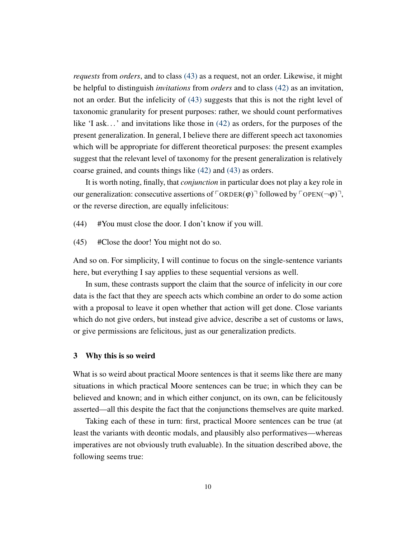*requests* from *orders*, and to class [\(43\)](#page-8-1) as a request, not an order. Likewise, it might be helpful to distinguish *invitations* from *orders* and to class [\(42\)](#page-8-0) as an invitation, not an order. But the infelicity of [\(43\)](#page-8-1) suggests that this is not the right level of taxonomic granularity for present purposes: rather, we should count performatives like 'I ask...' and invitations like those in [\(42\)](#page-8-0) as orders, for the purposes of the present generalization. In general, I believe there are different speech act taxonomies which will be appropriate for different theoretical purposes: the present examples suggest that the relevant level of taxonomy for the present generalization is relatively coarse grained, and counts things like [\(42\)](#page-8-0) and [\(43\)](#page-8-1) as orders.

It is worth noting, finally, that *conjunction* in particular does not play a key role in our generalization: consecutive assertions of  $\ulcorner$  ORDER $(\varphi) \urcorner$  followed by  $\ulcorner$  OPEN( $\neg \varphi$ ) $\urcorner$ , or the reverse direction, are equally infelicitous:

- (44) #You must close the door. I don't know if you will.
- (45) #Close the door! You might not do so.

And so on. For simplicity, I will continue to focus on the single-sentence variants here, but everything I say applies to these sequential versions as well.

In sum, these contrasts support the claim that the source of infelicity in our core data is the fact that they are speech acts which combine an order to do some action with a proposal to leave it open whether that action will get done. Close variants which do not give orders, but instead give advice, describe a set of customs or laws, or give permissions are felicitous, just as our generalization predicts.

## 3 Why this is so weird

What is so weird about practical Moore sentences is that it seems like there are many situations in which practical Moore sentences can be true; in which they can be believed and known; and in which either conjunct, on its own, can be felicitously asserted—all this despite the fact that the conjunctions themselves are quite marked.

<span id="page-9-0"></span>Taking each of these in turn: first, practical Moore sentences can be true (at least the variants with deontic modals, and plausibly also performatives—whereas imperatives are not obviously truth evaluable). In the situation described above, the following seems true: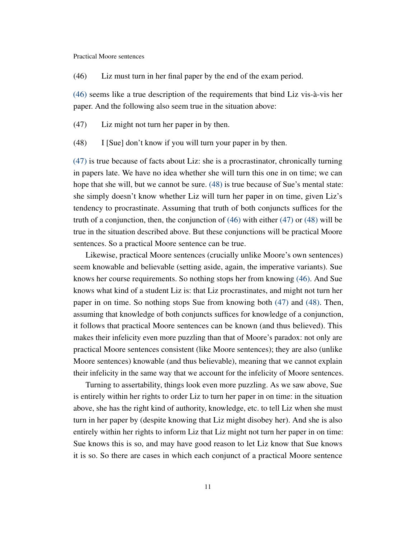(46) Liz must turn in her final paper by the end of the exam period.

[\(46\)](#page-9-0) seems like a true description of the requirements that bind Liz vis-à-vis her paper. And the following also seem true in the situation above:

<span id="page-10-0"></span>(47) Liz might not turn her paper in by then.

<span id="page-10-1"></span>(48) I [Sue] don't know if you will turn your paper in by then.

[\(47\)](#page-10-0) is true because of facts about Liz: she is a procrastinator, chronically turning in papers late. We have no idea whether she will turn this one in on time; we can hope that she will, but we cannot be sure. [\(48\)](#page-10-1) is true because of Sue's mental state: she simply doesn't know whether Liz will turn her paper in on time, given Liz's tendency to procrastinate. Assuming that truth of both conjuncts suffices for the truth of a conjunction, then, the conjunction of [\(46\)](#page-9-0) with either [\(47\)](#page-10-0) or [\(48\)](#page-10-1) will be true in the situation described above. But these conjunctions will be practical Moore sentences. So a practical Moore sentence can be true.

Likewise, practical Moore sentences (crucially unlike Moore's own sentences) seem knowable and believable (setting aside, again, the imperative variants). Sue knows her course requirements. So nothing stops her from knowing [\(46\).](#page-9-0) And Sue knows what kind of a student Liz is: that Liz procrastinates, and might not turn her paper in on time. So nothing stops Sue from knowing both [\(47\)](#page-10-0) and [\(48\).](#page-10-1) Then, assuming that knowledge of both conjuncts suffices for knowledge of a conjunction, it follows that practical Moore sentences can be known (and thus believed). This makes their infelicity even more puzzling than that of Moore's paradox: not only are practical Moore sentences consistent (like Moore sentences); they are also (unlike Moore sentences) knowable (and thus believable), meaning that we cannot explain their infelicity in the same way that we account for the infelicity of Moore sentences.

Turning to assertability, things look even more puzzling. As we saw above, Sue is entirely within her rights to order Liz to turn her paper in on time: in the situation above, she has the right kind of authority, knowledge, etc. to tell Liz when she must turn in her paper by (despite knowing that Liz might disobey her). And she is also entirely within her rights to inform Liz that Liz might not turn her paper in on time: Sue knows this is so, and may have good reason to let Liz know that Sue knows it is so. So there are cases in which each conjunct of a practical Moore sentence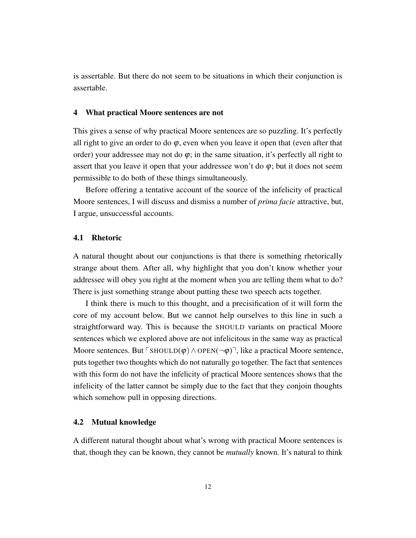is assertable. But there do not seem to be situations in which their conjunction is assertable.

#### <span id="page-11-0"></span>4 What practical Moore sentences are not

This gives a sense of why practical Moore sentences are so puzzling. It's perfectly all right to give an order to do  $\varphi$ , even when you leave it open that (even after that order) your addressee may not do  $\varphi$ ; in the same situation, it's perfectly all right to assert that you leave it open that your addressee won't do  $\varphi$ ; but it does not seem permissible to do both of these things simultaneously.

Before offering a tentative account of the source of the infelicity of practical Moore sentences, I will discuss and dismiss a number of *prima facie* attractive, but, I argue, unsuccessful accounts.

#### 4.1 Rhetoric

A natural thought about our conjunctions is that there is something rhetorically strange about them. After all, why highlight that you don't know whether your addressee will obey you right at the moment when you are telling them what to do? There is just something strange about putting these two speech acts together.

I think there is much to this thought, and a precisification of it will form the core of my account below. But we cannot help ourselves to this line in such a straightforward way. This is because the SHOULD variants on practical Moore sentences which we explored above are not infelicitous in the same way as practical Moore sentences. But  $\ulcorner$ SHOULD $(\varphi) \land$ OPEN( $\neg \varphi$ ) $\urcorner$ , like a practical Moore sentence, puts together two thoughts which do not naturally go together. The fact that sentences with this form do not have the infelicity of practical Moore sentences shows that the infelicity of the latter cannot be simply due to the fact that they conjoin thoughts which somehow pull in opposing directions.

# 4.2 Mutual knowledge

A different natural thought about what's wrong with practical Moore sentences is that, though they can be known, they cannot be *mutually* known. It's natural to think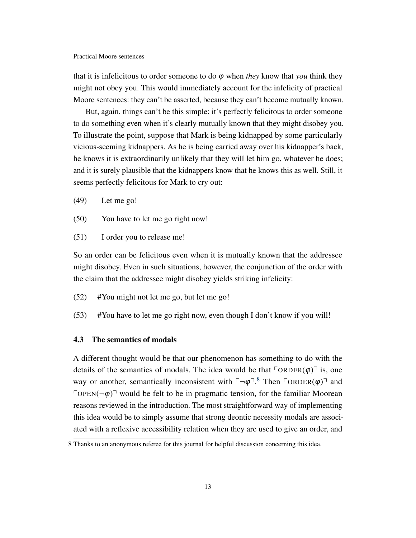that it is infelicitous to order someone to do ϕ when *they* know that *you* think they might not obey you. This would immediately account for the infelicity of practical Moore sentences: they can't be asserted, because they can't become mutually known.

But, again, things can't be this simple: it's perfectly felicitous to order someone to do something even when it's clearly mutually known that they might disobey you. To illustrate the point, suppose that Mark is being kidnapped by some particularly vicious-seeming kidnappers. As he is being carried away over his kidnapper's back, he knows it is extraordinarily unlikely that they will let him go, whatever he does; and it is surely plausible that the kidnappers know that he knows this as well. Still, it seems perfectly felicitous for Mark to cry out:

- (49) Let me go!
- (50) You have to let me go right now!
- (51) I order you to release me!

So an order can be felicitous even when it is mutually known that the addressee might disobey. Even in such situations, however, the conjunction of the order with the claim that the addressee might disobey yields striking infelicity:

- (52) #You might not let me go, but let me go!
- (53) #You have to let me go right now, even though I don't know if you will!

# <span id="page-12-0"></span>4.3 The semantics of modals

A different thought would be that our phenomenon has something to do with the details of the semantics of modals. The idea would be that  $\ulcorner$ ORDER( $\varphi$ ) $\urcorner$  is, one way or another, semantically inconsistent with  $\neg \varphi$ <sup>7</sup>.<sup>[8](#page-0-3)</sup> Then  $\neg$ ORDER( $\varphi$ )<sup> $\neg$ </sup> and  $\lceil$ OPEN( $\neg \phi$ )<sup> $\neg$ </sup> would be felt to be in pragmatic tension, for the familiar Moorean reasons reviewed in the introduction. The most straightforward way of implementing this idea would be to simply assume that strong deontic necessity modals are associated with a reflexive accessibility relation when they are used to give an order, and

<sup>8</sup> Thanks to an anonymous referee for this journal for helpful discussion concerning this idea.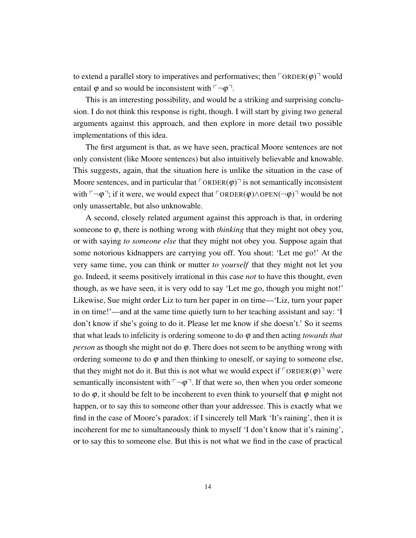to extend a parallel story to imperatives and performatives; then  $\ulcorner$ ORDER( $\varphi$ ) $\urcorner$  would entail  $\varphi$  and so would be inconsistent with  $\neg \varphi \neg$ .

This is an interesting possibility, and would be a striking and surprising conclusion. I do not think this response is right, though. I will start by giving two general arguments against this approach, and then explore in more detail two possible implementations of this idea.

The first argument is that, as we have seen, practical Moore sentences are not only consistent (like Moore sentences) but also intuitively believable and knowable. This suggests, again, that the situation here is unlike the situation in the case of Moore sentences, and in particular that  $\ulcorner$  ORDER $(\varphi)$ <sup> $\urcorner$ </sup> is not semantically inconsistent with  $\lceil \neg \varphi \rceil$ ; if it were, we would expect that  $\lceil \text{ORDER}(\varphi) \wedge \text{OPEN}(\neg \varphi) \rceil$  would be not only unassertable, but also unknowable.

A second, closely related argument against this approach is that, in ordering someone to  $\varphi$ , there is nothing wrong with *thinking* that they might not obey you, or with saying *to someone else* that they might not obey you. Suppose again that some notorious kidnappers are carrying you off. You shout: 'Let me go!' At the very same time, you can think or mutter *to yourself* that they might not let you go. Indeed, it seems positively irrational in this case *not* to have this thought, even though, as we have seen, it is very odd to say 'Let me go, though you might not!' Likewise, Sue might order Liz to turn her paper in on time—'Liz, turn your paper in on time!'—and at the same time quietly turn to her teaching assistant and say: 'I don't know if she's going to do it. Please let me know if she doesn't.' So it seems that what leads to infelicity is ordering someone to do  $\varphi$  and then acting *towards that person* as though she might not do  $\varphi$ . There does not seem to be anything wrong with ordering someone to do  $\varphi$  and then thinking to oneself, or saying to someone else, that they might not do it. But this is not what we would expect if  $\ulcorner$  ORDER( $\varphi$ ) $\urcorner$  were semantically inconsistent with  $\neg \varphi$ . If that were so, then when you order someone to do  $\varphi$ , it should be felt to be incoherent to even think to yourself that  $\varphi$  might not happen, or to say this to someone other than your addressee. This is exactly what we find in the case of Moore's paradox: if I sincerely tell Mark 'It's raining', then it is incoherent for me to simultaneously think to myself 'I don't know that it's raining', or to say this to someone else. But this is not what we find in the case of practical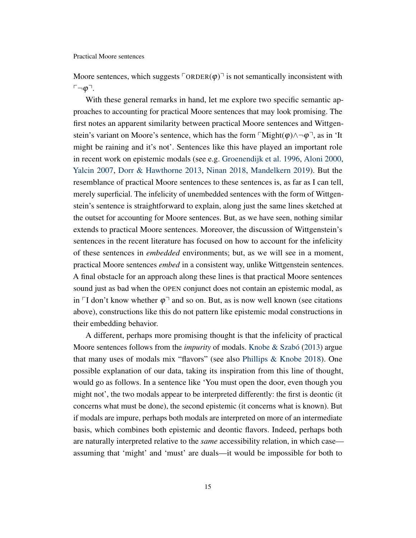Moore sentences, which suggests  $\ulcorner$  ORDER $(\varphi) \urcorner$  is not semantically inconsistent with  $\ulcorner\neg\phi\urcorner$ .

With these general remarks in hand, let me explore two specific semantic approaches to accounting for practical Moore sentences that may look promising. The first notes an apparent similarity between practical Moore sentences and Wittgenstein's variant on Moore's sentence, which has the form  $\lceil \text{Might}(\phi) \wedge \neg \phi \rceil$ , as in 'It might be raining and it's not'. Sentences like this have played an important role in recent work on epistemic modals (see e.g. [Groenendijk et al.](#page-29-5) [1996,](#page-29-5) [Aloni](#page-29-6) [2000,](#page-29-6) [Yalcin](#page-31-3) [2007,](#page-31-3) [Dorr & Hawthorne](#page-29-7) [2013,](#page-29-7) [Ninan](#page-30-9) [2018,](#page-30-9) [Mandelkern](#page-30-10) [2019\)](#page-30-10). But the resemblance of practical Moore sentences to these sentences is, as far as I can tell, merely superficial. The infelicity of unembedded sentences with the form of Wittgenstein's sentence is straightforward to explain, along just the same lines sketched at the outset for accounting for Moore sentences. But, as we have seen, nothing similar extends to practical Moore sentences. Moreover, the discussion of Wittgenstein's sentences in the recent literature has focused on how to account for the infelicity of these sentences in *embedded* environments; but, as we will see in a moment, practical Moore sentences *embed* in a consistent way, unlike Wittgenstein sentences. A final obstacle for an approach along these lines is that practical Moore sentences sound just as bad when the OPEN conjunct does not contain an epistemic modal, as in  $\ulcorner$ I don't know whether  $\varphi \urcorner$  and so on. But, as is now well known (see citations above), constructions like this do not pattern like epistemic modal constructions in their embedding behavior.

A different, perhaps more promising thought is that the infelicity of practical Moore sentences follows from the *impurity* of modals. [Knobe & Szabó](#page-30-11) [\(2013\)](#page-30-11) argue that many uses of modals mix "flavors" (see also [Phillips & Knobe](#page-30-12) [2018\)](#page-30-12). One possible explanation of our data, taking its inspiration from this line of thought, would go as follows. In a sentence like 'You must open the door, even though you might not', the two modals appear to be interpreted differently: the first is deontic (it concerns what must be done), the second epistemic (it concerns what is known). But if modals are impure, perhaps both modals are interpreted on more of an intermediate basis, which combines both epistemic and deontic flavors. Indeed, perhaps both are naturally interpreted relative to the *same* accessibility relation, in which case assuming that 'might' and 'must' are duals—it would be impossible for both to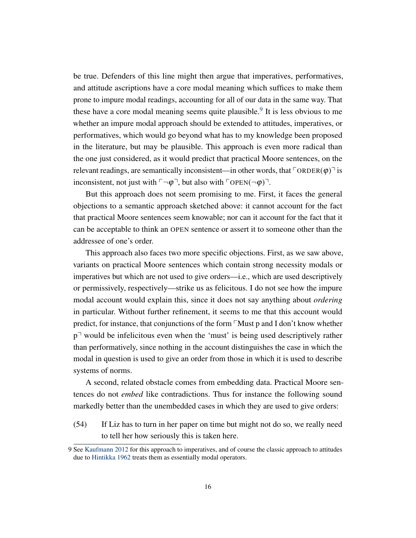be true. Defenders of this line might then argue that imperatives, performatives, and attitude ascriptions have a core modal meaning which suffices to make them prone to impure modal readings, accounting for all of our data in the same way. That these have a core modal meaning seems quite plausible.<sup>[9](#page-0-3)</sup> It is less obvious to me whether an impure modal approach should be extended to attitudes, imperatives, or performatives, which would go beyond what has to my knowledge been proposed in the literature, but may be plausible. This approach is even more radical than the one just considered, as it would predict that practical Moore sentences, on the relevant readings, are semantically inconsistent—in other words, that  $\lceil$ ORDER( $\varphi$ ) $\lceil$  is inconsistent, not just with  $\lceil \neg \varphi \rceil$ , but also with  $\lceil \text{OPEN}(\neg \varphi) \rceil$ .

But this approach does not seem promising to me. First, it faces the general objections to a semantic approach sketched above: it cannot account for the fact that practical Moore sentences seem knowable; nor can it account for the fact that it can be acceptable to think an OPEN sentence or assert it to someone other than the addressee of one's order.

This approach also faces two more specific objections. First, as we saw above, variants on practical Moore sentences which contain strong necessity modals or imperatives but which are not used to give orders—i.e., which are used descriptively or permissively, respectively—strike us as felicitous. I do not see how the impure modal account would explain this, since it does not say anything about *ordering* in particular. Without further refinement, it seems to me that this account would predict, for instance, that conjunctions of the form  $\nabla$  Must p and I don't know whether  $p<sup>-1</sup>$  would be infelicitous even when the 'must' is being used descriptively rather than performatively, since nothing in the account distinguishes the case in which the modal in question is used to give an order from those in which it is used to describe systems of norms.

A second, related obstacle comes from embedding data. Practical Moore sentences do not *embed* like contradictions. Thus for instance the following sound markedly better than the unembedded cases in which they are used to give orders:

(54) If Liz has to turn in her paper on time but might not do so, we really need to tell her how seriously this is taken here.

<sup>9</sup> See [Kaufmann](#page-30-3) [2012](#page-30-3) for this approach to imperatives, and of course the classic approach to attitudes due to [Hintikka](#page-30-1) [1962](#page-30-1) treats them as essentially modal operators.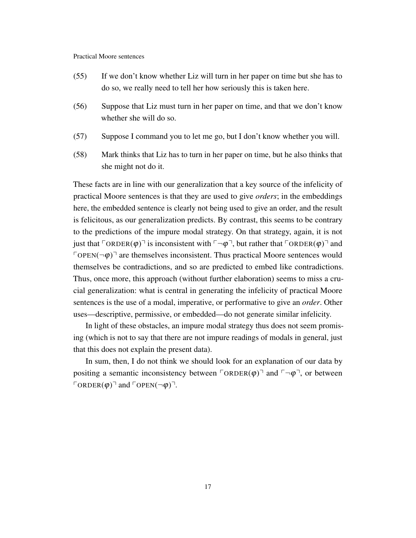- (55) If we don't know whether Liz will turn in her paper on time but she has to do so, we really need to tell her how seriously this is taken here.
- (56) Suppose that Liz must turn in her paper on time, and that we don't know whether she will do so.
- (57) Suppose I command you to let me go, but I don't know whether you will.
- (58) Mark thinks that Liz has to turn in her paper on time, but he also thinks that she might not do it.

These facts are in line with our generalization that a key source of the infelicity of practical Moore sentences is that they are used to give *orders*; in the embeddings here, the embedded sentence is clearly not being used to give an order, and the result is felicitous, as our generalization predicts. By contrast, this seems to be contrary to the predictions of the impure modal strategy. On that strategy, again, it is not just that  $\ulcorner$  ORDER $(\phi)$ <sup> $\urcorner$ </sup> is inconsistent with  $\ulcorner \neg \phi \urcorner$ , but rather that  $\ulcorner$  ORDER $(\phi) \urcorner$  and  $\ulcorner$  OPEN( $\neg \phi$ ) $\urcorner$  are themselves inconsistent. Thus practical Moore sentences would themselves be contradictions, and so are predicted to embed like contradictions. Thus, once more, this approach (without further elaboration) seems to miss a crucial generalization: what is central in generating the infelicity of practical Moore sentences is the use of a modal, imperative, or performative to give an *order*. Other uses—descriptive, permissive, or embedded—do not generate similar infelicity.

In light of these obstacles, an impure modal strategy thus does not seem promising (which is not to say that there are not impure readings of modals in general, just that this does not explain the present data).

In sum, then, I do not think we should look for an explanation of our data by positing a semantic inconsistency between  $\ulcorner$  ORDER $(\varphi)$ <sup> $\urcorner$ </sup> and  $\ulcorner \neg \varphi \urcorner$ , or between  $\ulcorner$  ORDER $(\varphi)$ <sup> $\urcorner$ </sup> and  $\ulcorner$  OPEN( $\neg \varphi$ ) $\urcorner$ .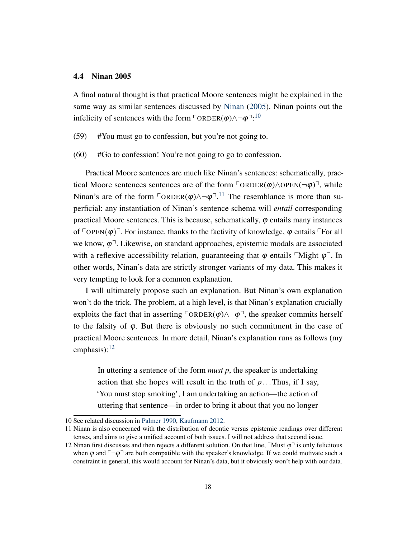# <span id="page-17-0"></span>4.4 Ninan 2005

A final natural thought is that practical Moore sentences might be explained in the same way as similar sentences discussed by [Ninan](#page-30-2) [\(2005\)](#page-30-2). Ninan points out the infelicity of sentences with the form  $\ulcorner$  ORDER( $\varphi$ ) $\land \neg \varphi \urcorner$ :<sup>[10](#page-0-3)</sup>

- (59) #You must go to confession, but you're not going to.
- (60) #Go to confession! You're not going to go to confession.

Practical Moore sentences are much like Ninan's sentences: schematically, practical Moore sentences sentences are of the form  $\ulcorner$ ORDER $(\phi) \land$ OPEN(¬ $\phi$ ) $\urcorner$ , while Ninan's are of the form  $\ulcorner$ ORDER $(\varphi) \wedge \neg \varphi \urcorner$ <sup>[11](#page-0-3)</sup> The resemblance is more than superficial: any instantiation of Ninan's sentence schema will *entail* corresponding practical Moore sentences. This is because, schematically,  $\varphi$  entails many instances of  $\ulcorner$  OPEN $(\phi)$ <sup> $\urcorner$ </sup>. For instance, thanks to the factivity of knowledge,  $\phi$  entails  $\ulcorner$  For all we know,  $\varphi$ <sup>-</sup>. Likewise, on standard approaches, epistemic modals are associated with a reflexive accessibility relation, guaranteeing that  $\varphi$  entails  $\ulcorner$  Might  $\varphi\urcorner$ . In other words, Ninan's data are strictly stronger variants of my data. This makes it very tempting to look for a common explanation.

I will ultimately propose such an explanation. But Ninan's own explanation won't do the trick. The problem, at a high level, is that Ninan's explanation crucially exploits the fact that in asserting  $\ulcorner$ ORDER $(\phi) \land \neg \phi \urcorner$ , the speaker commits herself to the falsity of  $\varphi$ . But there is obviously no such commitment in the case of practical Moore sentences. In more detail, Ninan's explanation runs as follows (my emphasis): $^{12}$  $^{12}$  $^{12}$ 

In uttering a sentence of the form *must p*, the speaker is undertaking action that she hopes will result in the truth of *p*...Thus, if I say, 'You must stop smoking', I am undertaking an action—the action of uttering that sentence—in order to bring it about that you no longer

<sup>10</sup> See related discussion in [Palmer](#page-30-13) [1990,](#page-30-13) [Kaufmann](#page-30-3) [2012.](#page-30-3)

<sup>11</sup> Ninan is also concerned with the distribution of deontic versus epistemic readings over different tenses, and aims to give a unified account of both issues. I will not address that second issue.

<sup>12</sup> Ninan first discusses and then rejects a different solution. On that line,  $\nabla$ Must  $\varphi$ <sup>-</sup> is only felicitous when  $\varphi$  and  $\lceil \neg \varphi \rceil$  are both compatible with the speaker's knowledge. If we could motivate such a constraint in general, this would account for Ninan's data, but it obviously won't help with our data.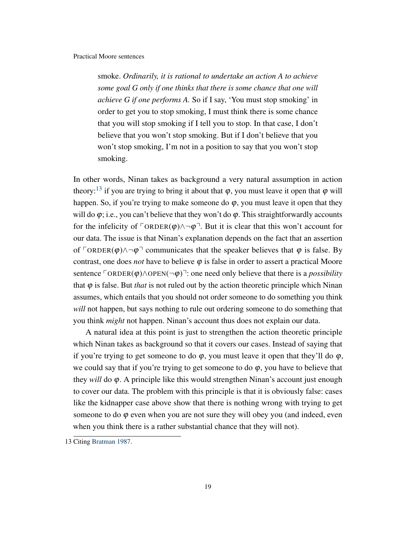smoke. *Ordinarily, it is rational to undertake an action A to achieve some goal G only if one thinks that there is some chance that one will achieve G if one performs A.* So if I say, 'You must stop smoking' in order to get you to stop smoking, I must think there is some chance that you will stop smoking if I tell you to stop. In that case, I don't believe that you won't stop smoking. But if I don't believe that you won't stop smoking, I'm not in a position to say that you won't stop smoking.

In other words, Ninan takes as background a very natural assumption in action theory:<sup>[13](#page-0-3)</sup> if you are trying to bring it about that  $\varphi$ , you must leave it open that  $\varphi$  will happen. So, if you're trying to make someone do  $\varphi$ , you must leave it open that they will do  $\varphi$ ; i.e., you can't believe that they won't do  $\varphi$ . This straightforwardly accounts for the infelicity of  $\ulcorner$ ORDER $(\phi) \land \neg \phi \urcorner$ . But it is clear that this won't account for our data. The issue is that Ninan's explanation depends on the fact that an assertion of  $\ulcorner$ ORDER $(\phi) \land \neg \phi \urcorner$  communicates that the speaker believes that  $\phi$  is false. By contrast, one does *not* have to believe  $\varphi$  is false in order to assert a practical Moore sentence  $\ulcorner$ ORDER $(\phi) \land$ OPEN $(\neg \phi)$ <sup> $\urcorner$ </sup>: one need only believe that there is a *possibility* that  $\varphi$  is false. But *that* is not ruled out by the action theoretic principle which Ninan assumes, which entails that you should not order someone to do something you think *will* not happen, but says nothing to rule out ordering someone to do something that you think *might* not happen. Ninan's account thus does not explain our data.

A natural idea at this point is just to strengthen the action theoretic principle which Ninan takes as background so that it covers our cases. Instead of saying that if you're trying to get someone to do  $\varphi$ , you must leave it open that they'll do  $\varphi$ , we could say that if you're trying to get someone to do  $\varphi$ , you have to believe that they *will* do ϕ. A principle like this would strengthen Ninan's account just enough to cover our data. The problem with this principle is that it is obviously false: cases like the kidnapper case above show that there is nothing wrong with trying to get someone to do  $\varphi$  even when you are not sure they will obey you (and indeed, even when you think there is a rather substantial chance that they will not).

<sup>13</sup> Citing [Bratman](#page-29-8) [1987.](#page-29-8)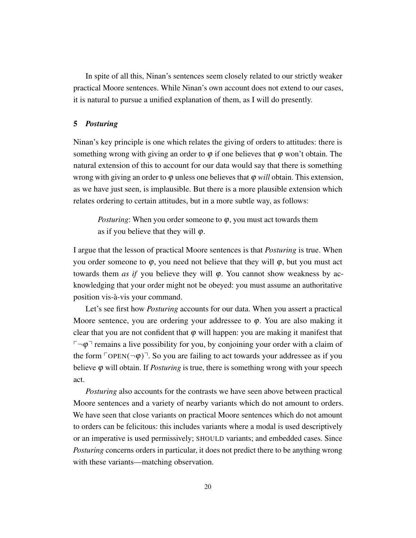In spite of all this, Ninan's sentences seem closely related to our strictly weaker practical Moore sentences. While Ninan's own account does not extend to our cases, it is natural to pursue a unified explanation of them, as I will do presently.

## 5 *Posturing*

Ninan's key principle is one which relates the giving of orders to attitudes: there is something wrong with giving an order to  $\varphi$  if one believes that  $\varphi$  won't obtain. The natural extension of this to account for our data would say that there is something wrong with giving an order to  $\varphi$  unless one believes that  $\varphi$  *will* obtain. This extension, as we have just seen, is implausible. But there is a more plausible extension which relates ordering to certain attitudes, but in a more subtle way, as follows:

*Posturing*: When you order someone to  $\varphi$ , you must act towards them as if you believe that they will  $\varphi$ .

I argue that the lesson of practical Moore sentences is that *Posturing* is true. When you order someone to  $\varphi$ , you need not believe that they will  $\varphi$ , but you must act towards them *as if* you believe they will  $\varphi$ . You cannot show weakness by acknowledging that your order might not be obeyed: you must assume an authoritative position vis-à-vis your command.

Let's see first how *Posturing* accounts for our data. When you assert a practical Moore sentence, you are ordering your addressee to  $\varphi$ . You are also making it clear that you are not confident that  $\varphi$  will happen: you are making it manifest that  $\Box \phi$  remains a live possibility for you, by conjoining your order with a claim of the form  $\lceil$  OPEN( $\neg \phi$ )<sup> $\lceil$ </sup>. So you are failing to act towards your addressee as if you believe  $\varphi$  will obtain. If *Posturing* is true, there is something wrong with your speech act.

*Posturing* also accounts for the contrasts we have seen above between practical Moore sentences and a variety of nearby variants which do not amount to orders. We have seen that close variants on practical Moore sentences which do not amount to orders can be felicitous: this includes variants where a modal is used descriptively or an imperative is used permissively; SHOULD variants; and embedded cases. Since *Posturing* concerns orders in particular, it does not predict there to be anything wrong with these variants—matching observation.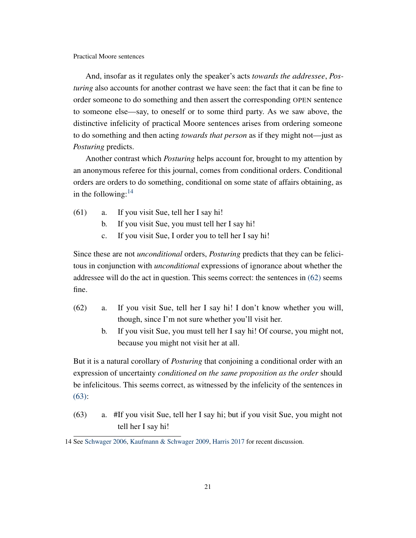And, insofar as it regulates only the speaker's acts *towards the addressee*, *Posturing* also accounts for another contrast we have seen: the fact that it can be fine to order someone to do something and then assert the corresponding OPEN sentence to someone else—say, to oneself or to some third party. As we saw above, the distinctive infelicity of practical Moore sentences arises from ordering someone to do something and then acting *towards that person* as if they might not—just as *Posturing* predicts.

Another contrast which *Posturing* helps account for, brought to my attention by an anonymous referee for this journal, comes from conditional orders. Conditional orders are orders to do something, conditional on some state of affairs obtaining, as in the following: $14$ 

- (61) a. If you visit Sue, tell her I say hi!
	- b. If you visit Sue, you must tell her I say hi!
	- c. If you visit Sue, I order you to tell her I say hi!

Since these are not *unconditional* orders, *Posturing* predicts that they can be felicitous in conjunction with *unconditional* expressions of ignorance about whether the addressee will do the act in question. This seems correct: the sentences in [\(62\)](#page-20-0) seems fine.

- <span id="page-20-0"></span>(62) a. If you visit Sue, tell her I say hi! I don't know whether you will, though, since I'm not sure whether you'll visit her.
	- b. If you visit Sue, you must tell her I say hi! Of course, you might not, because you might not visit her at all.

But it is a natural corollary of *Posturing* that conjoining a conditional order with an expression of uncertainty *conditioned on the same proposition as the order* should be infelicitous. This seems correct, as witnessed by the infelicity of the sentences in [\(63\):](#page-20-1)

<span id="page-20-1"></span>(63) a. #If you visit Sue, tell her I say hi; but if you visit Sue, you might not tell her I say hi!

<sup>14</sup> See [Schwager](#page-30-14) [2006,](#page-30-14) [Kaufmann & Schwager](#page-30-15) [2009,](#page-30-15) [Harris](#page-30-4) [2017](#page-30-4) for recent discussion.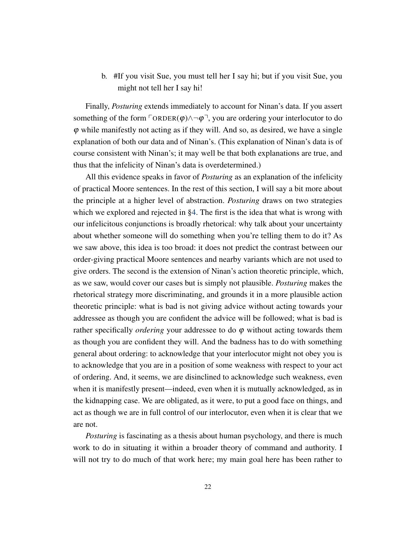b. #If you visit Sue, you must tell her I say hi; but if you visit Sue, you might not tell her I say hi!

Finally, *Posturing* extends immediately to account for Ninan's data. If you assert something of the form  $\ulcorner$ ORDER $(\phi) \land \neg \phi \urcorner$ , you are ordering your interlocutor to do  $\varphi$  while manifestly not acting as if they will. And so, as desired, we have a single explanation of both our data and of Ninan's. (This explanation of Ninan's data is of course consistent with Ninan's; it may well be that both explanations are true, and thus that the infelicity of Ninan's data is overdetermined.)

All this evidence speaks in favor of *Posturing* as an explanation of the infelicity of practical Moore sentences. In the rest of this section, I will say a bit more about the principle at a higher level of abstraction. *Posturing* draws on two strategies which we explored and rejected in [§4.](#page-11-0) The first is the idea that what is wrong with our infelicitous conjunctions is broadly rhetorical: why talk about your uncertainty about whether someone will do something when you're telling them to do it? As we saw above, this idea is too broad: it does not predict the contrast between our order-giving practical Moore sentences and nearby variants which are not used to give orders. The second is the extension of Ninan's action theoretic principle, which, as we saw, would cover our cases but is simply not plausible. *Posturing* makes the rhetorical strategy more discriminating, and grounds it in a more plausible action theoretic principle: what is bad is not giving advice without acting towards your addressee as though you are confident the advice will be followed; what is bad is rather specifically *ordering* your addressee to do  $\varphi$  without acting towards them as though you are confident they will. And the badness has to do with something general about ordering: to acknowledge that your interlocutor might not obey you is to acknowledge that you are in a position of some weakness with respect to your act of ordering. And, it seems, we are disinclined to acknowledge such weakness, even when it is manifestly present—indeed, even when it is mutually acknowledged, as in the kidnapping case. We are obligated, as it were, to put a good face on things, and act as though we are in full control of our interlocutor, even when it is clear that we are not.

*Posturing* is fascinating as a thesis about human psychology, and there is much work to do in situating it within a broader theory of command and authority. I will not try to do much of that work here; my main goal here has been rather to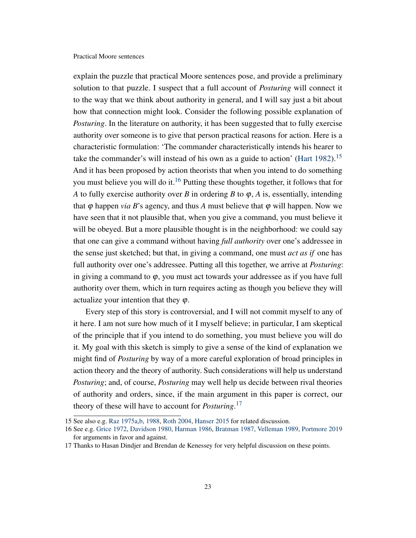explain the puzzle that practical Moore sentences pose, and provide a preliminary solution to that puzzle. I suspect that a full account of *Posturing* will connect it to the way that we think about authority in general, and I will say just a bit about how that connection might look. Consider the following possible explanation of *Posturing*. In the literature on authority, it has been suggested that to fully exercise authority over someone is to give that person practical reasons for action. Here is a characteristic formulation: 'The commander characteristically intends his hearer to take the commander's will instead of his own as a guide to action' [\(Hart](#page-30-16) [1982\)](#page-30-16).<sup>[15](#page-0-3)</sup> And it has been proposed by action theorists that when you intend to do something you must believe you will do it.<sup>[16](#page-0-3)</sup> Putting these thoughts together, it follows that for *A* to fully exercise authority over *B* in ordering *B* to  $\varphi$ , *A* is, essentially, intending that  $\varphi$  happen *via B*'s agency, and thus *A* must believe that  $\varphi$  will happen. Now we have seen that it not plausible that, when you give a command, you must believe it will be obeyed. But a more plausible thought is in the neighborhood: we could say that one can give a command without having *full authority* over one's addressee in the sense just sketched; but that, in giving a command, one must *act as if* one has full authority over one's addressee. Putting all this together, we arrive at *Posturing*: in giving a command to  $\varphi$ , you must act towards your addressee as if you have full authority over them, which in turn requires acting as though you believe they will actualize your intention that they  $\varphi$ .

Every step of this story is controversial, and I will not commit myself to any of it here. I am not sure how much of it I myself believe; in particular, I am skeptical of the principle that if you intend to do something, you must believe you will do it. My goal with this sketch is simply to give a sense of the kind of explanation we might find of *Posturing* by way of a more careful exploration of broad principles in action theory and the theory of authority. Such considerations will help us understand *Posturing*; and, of course, *Posturing* may well help us decide between rival theories of authority and orders, since, if the main argument in this paper is correct, our theory of these will have to account for *Posturing*. [17](#page-0-3)

<sup>15</sup> See also e.g. [Raz](#page-30-17) [1975a,](#page-30-17)[b,](#page-30-18) [1988,](#page-30-19) [Roth](#page-30-20) [2004,](#page-30-20) [Hanser](#page-29-9) [2015](#page-29-9) for related discussion.

<sup>16</sup> See e.g. [Grice](#page-29-10) [1972,](#page-29-10) [Davidson](#page-29-11) [1980,](#page-29-11) [Harman](#page-29-12) [1986,](#page-29-12) [Bratman](#page-29-8) [1987,](#page-29-8) [Velleman](#page-31-4) [1989,](#page-31-4) [Portmore](#page-30-21) [2019](#page-30-21) for arguments in favor and against.

<sup>17</sup> Thanks to Hasan Dindjer and Brendan de Kenessey for very helpful discussion on these points.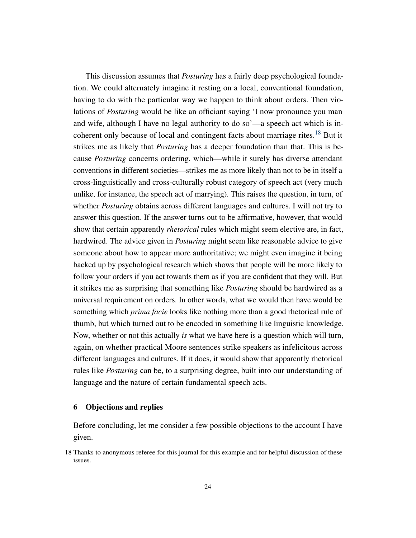This discussion assumes that *Posturing* has a fairly deep psychological foundation. We could alternately imagine it resting on a local, conventional foundation, having to do with the particular way we happen to think about orders. Then violations of *Posturing* would be like an officiant saying 'I now pronounce you man and wife, although I have no legal authority to do so'—a speech act which is in-coherent only because of local and contingent facts about marriage rites.<sup>[18](#page-0-3)</sup> But it strikes me as likely that *Posturing* has a deeper foundation than that. This is because *Posturing* concerns ordering, which—while it surely has diverse attendant conventions in different societies—strikes me as more likely than not to be in itself a cross-linguistically and cross-culturally robust category of speech act (very much unlike, for instance, the speech act of marrying). This raises the question, in turn, of whether *Posturing* obtains across different languages and cultures. I will not try to answer this question. If the answer turns out to be affirmative, however, that would show that certain apparently *rhetorical* rules which might seem elective are, in fact, hardwired. The advice given in *Posturing* might seem like reasonable advice to give someone about how to appear more authoritative; we might even imagine it being backed up by psychological research which shows that people will be more likely to follow your orders if you act towards them as if you are confident that they will. But it strikes me as surprising that something like *Posturing* should be hardwired as a universal requirement on orders. In other words, what we would then have would be something which *prima facie* looks like nothing more than a good rhetorical rule of thumb, but which turned out to be encoded in something like linguistic knowledge. Now, whether or not this actually *is* what we have here is a question which will turn, again, on whether practical Moore sentences strike speakers as infelicitous across different languages and cultures. If it does, it would show that apparently rhetorical rules like *Posturing* can be, to a surprising degree, built into our understanding of language and the nature of certain fundamental speech acts.

# 6 Objections and replies

Before concluding, let me consider a few possible objections to the account I have given.

<sup>18</sup> Thanks to anonymous referee for this journal for this example and for helpful discussion of these issues.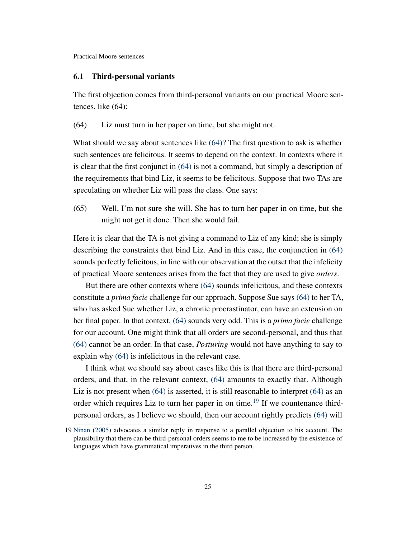# 6.1 Third-personal variants

The first objection comes from third-personal variants on our practical Moore sentences, like (64):

<span id="page-24-0"></span>(64) Liz must turn in her paper on time, but she might not.

What should we say about sentences like  $(64)$ ? The first question to ask is whether such sentences are felicitous. It seems to depend on the context. In contexts where it is clear that the first conjunct in [\(64\)](#page-24-0) is not a command, but simply a description of the requirements that bind Liz, it seems to be felicitous. Suppose that two TAs are speculating on whether Liz will pass the class. One says:

(65) Well, I'm not sure she will. She has to turn her paper in on time, but she might not get it done. Then she would fail.

Here it is clear that the TA is not giving a command to Liz of any kind; she is simply describing the constraints that bind Liz. And in this case, the conjunction in [\(64\)](#page-24-0) sounds perfectly felicitous, in line with our observation at the outset that the infelicity of practical Moore sentences arises from the fact that they are used to give *orders*.

But there are other contexts where [\(64\)](#page-24-0) sounds infelicitous, and these contexts constitute a *prima facie* challenge for our approach. Suppose Sue says [\(64\)](#page-24-0) to her TA, who has asked Sue whether Liz, a chronic procrastinator, can have an extension on her final paper. In that context, [\(64\)](#page-24-0) sounds very odd. This is a *prima facie* challenge for our account. One might think that all orders are second-personal, and thus that [\(64\)](#page-24-0) cannot be an order. In that case, *Posturing* would not have anything to say to explain why [\(64\)](#page-24-0) is infelicitous in the relevant case.

I think what we should say about cases like this is that there are third-personal orders, and that, in the relevant context, [\(64\)](#page-24-0) amounts to exactly that. Although Liz is not present when [\(64\)](#page-24-0) is asserted, it is still reasonable to interpret (64) as an order which requires Liz to turn her paper in on time.<sup>[19](#page-0-3)</sup> If we countenance thirdpersonal orders, as I believe we should, then our account rightly predicts [\(64\)](#page-24-0) will

<sup>19</sup> [Ninan](#page-30-2) [\(2005\)](#page-30-2) advocates a similar reply in response to a parallel objection to his account. The plausibility that there can be third-personal orders seems to me to be increased by the existence of languages which have grammatical imperatives in the third person.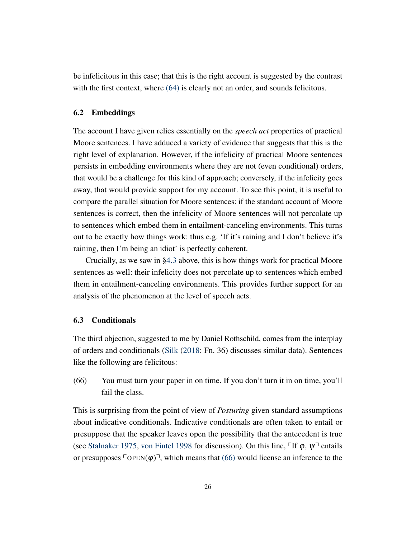be infelicitous in this case; that this is the right account is suggested by the contrast with the first context, where  $(64)$  is clearly not an order, and sounds felicitous.

# 6.2 Embeddings

The account I have given relies essentially on the *speech act* properties of practical Moore sentences. I have adduced a variety of evidence that suggests that this is the right level of explanation. However, if the infelicity of practical Moore sentences persists in embedding environments where they are not (even conditional) orders, that would be a challenge for this kind of approach; conversely, if the infelicity goes away, that would provide support for my account. To see this point, it is useful to compare the parallel situation for Moore sentences: if the standard account of Moore sentences is correct, then the infelicity of Moore sentences will not percolate up to sentences which embed them in entailment-canceling environments. This turns out to be exactly how things work: thus e.g. 'If it's raining and I don't believe it's raining, then I'm being an idiot' is perfectly coherent.

Crucially, as we saw in [§4.3](#page-12-0) above, this is how things work for practical Moore sentences as well: their infelicity does not percolate up to sentences which embed them in entailment-canceling environments. This provides further support for an analysis of the phenomenon at the level of speech acts.

# 6.3 Conditionals

The third objection, suggested to me by Daniel Rothschild, comes from the interplay of orders and conditionals [\(Silk](#page-31-2) [\(2018:](#page-31-2) Fn. 36) discusses similar data). Sentences like the following are felicitous:

<span id="page-25-0"></span>(66) You must turn your paper in on time. If you don't turn it in on time, you'll fail the class.

This is surprising from the point of view of *Posturing* given standard assumptions about indicative conditionals. Indicative conditionals are often taken to entail or presuppose that the speaker leaves open the possibility that the antecedent is true (see [Stalnaker](#page-31-5) [1975,](#page-31-5) [von Fintel](#page-29-13) [1998](#page-29-13) for discussion). On this line,  $\Gamma$ If  $\varphi$ ,  $\psi$ <sup> $\Gamma$ </sup> entails or presupposes  $\ulcorner$  OPEN( $\varphi$ ) $\urcorner$ , which means that [\(66\)](#page-25-0) would license an inference to the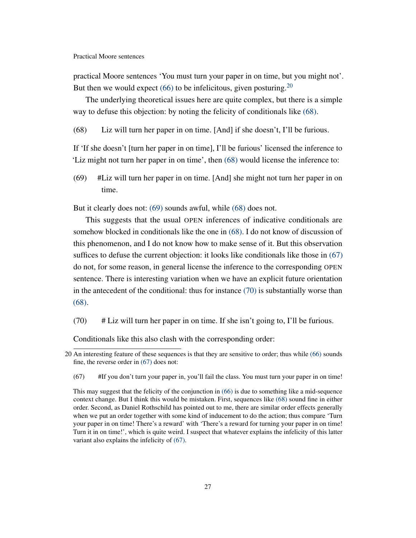practical Moore sentences 'You must turn your paper in on time, but you might not'. But then we would expect [\(66\)](#page-25-0) to be infelicitous, given posturing.<sup>[20](#page-0-3)</sup>

The underlying theoretical issues here are quite complex, but there is a simple way to defuse this objection: by noting the felicity of conditionals like [\(68\).](#page-26-0)

<span id="page-26-0"></span>(68) Liz will turn her paper in on time. [And] if she doesn't, I'll be furious.

If 'If she doesn't [turn her paper in on time], I'll be furious' licensed the inference to 'Liz might not turn her paper in on time', then [\(68\)](#page-26-0) would license the inference to:

<span id="page-26-1"></span>(69) #Liz will turn her paper in on time. [And] she might not turn her paper in on time.

But it clearly does not: [\(69\)](#page-26-1) sounds awful, while [\(68\)](#page-26-0) does not.

This suggests that the usual OPEN inferences of indicative conditionals are somehow blocked in conditionals like the one in [\(68\).](#page-26-0) I do not know of discussion of this phenomenon, and I do not know how to make sense of it. But this observation suffices to defuse the current objection: it looks like conditionals like those in [\(67\)](#page-26-2) do not, for some reason, in general license the inference to the corresponding OPEN sentence. There is interesting variation when we have an explicit future orientation in the antecedent of the conditional: thus for instance [\(70\)](#page-26-3) is substantially worse than [\(68\).](#page-26-0)

<span id="page-26-3"></span>(70) # Liz will turn her paper in on time. If she isn't going to, I'll be furious.

Conditionals like this also clash with the corresponding order:

<span id="page-26-2"></span>(67) #If you don't turn your paper in, you'll fail the class. You must turn your paper in on time!

<sup>20</sup> An interesting feature of these sequences is that they are sensitive to order; thus while [\(66\)](#page-25-0) sounds fine, the reverse order in [\(67\)](#page-26-2) does not:

This may suggest that the felicity of the conjunction in [\(66\)](#page-25-0) is due to something like a mid-sequence context change. But I think this would be mistaken. First, sequences like [\(68\)](#page-26-0) sound fine in either order. Second, as Daniel Rothschild has pointed out to me, there are similar order effects generally when we put an order together with some kind of inducement to do the action; thus compare 'Turn your paper in on time! There's a reward' with 'There's a reward for turning your paper in on time! Turn it in on time!', which is quite weird. I suspect that whatever explains the infelicity of this latter variant also explains the infelicity of [\(67\).](#page-26-2)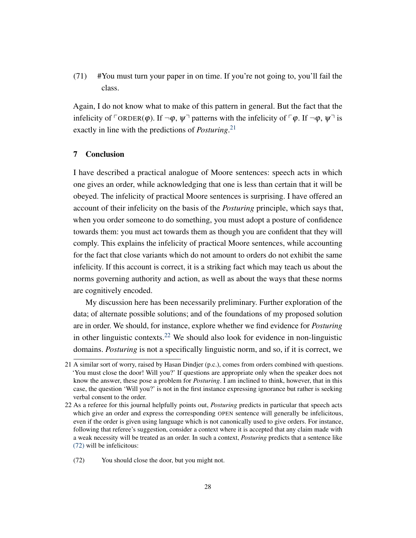(71) #You must turn your paper in on time. If you're not going to, you'll fail the class.

Again, I do not know what to make of this pattern in general. But the fact that the infelicity of  $\ulcorner$ ORDER( $\varphi$ ). If  $\neg \varphi$ ,  $\psi \urcorner$  patterns with the infelicity of  $\ulcorner \varphi$ . If  $\neg \varphi$ ,  $\psi \urcorner$  is exactly in line with the predictions of *Posturing*. [21](#page-0-3)

# 7 Conclusion

I have described a practical analogue of Moore sentences: speech acts in which one gives an order, while acknowledging that one is less than certain that it will be obeyed. The infelicity of practical Moore sentences is surprising. I have offered an account of their infelicity on the basis of the *Posturing* principle, which says that, when you order someone to do something, you must adopt a posture of confidence towards them: you must act towards them as though you are confident that they will comply. This explains the infelicity of practical Moore sentences, while accounting for the fact that close variants which do not amount to orders do not exhibit the same infelicity. If this account is correct, it is a striking fact which may teach us about the norms governing authority and action, as well as about the ways that these norms are cognitively encoded.

My discussion here has been necessarily preliminary. Further exploration of the data; of alternate possible solutions; and of the foundations of my proposed solution are in order. We should, for instance, explore whether we find evidence for *Posturing* in other linguistic contexts.<sup>[22](#page-0-3)</sup> We should also look for evidence in non-linguistic domains. *Posturing* is not a specifically linguistic norm, and so, if it is correct, we

<sup>21</sup> A similar sort of worry, raised by Hasan Dindjer (p.c.), comes from orders combined with questions. 'You must close the door! Will you?' If questions are appropriate only when the speaker does not know the answer, these pose a problem for *Posturing*. I am inclined to think, however, that in this case, the question 'Will you?' is not in the first instance expressing ignorance but rather is seeking verbal consent to the order.

<sup>22</sup> As a referee for this journal helpfully points out, *Posturing* predicts in particular that speech acts which give an order and express the corresponding OPEN sentence will generally be infelicitous, even if the order is given using language which is not canonically used to give orders. For instance, following that referee's suggestion, consider a context where it is accepted that any claim made with a weak necessity will be treated as an order. In such a context, *Posturing* predicts that a sentence like [\(72\)](#page-27-0) will be infelicitous:

<span id="page-27-0"></span><sup>(72)</sup> You should close the door, but you might not.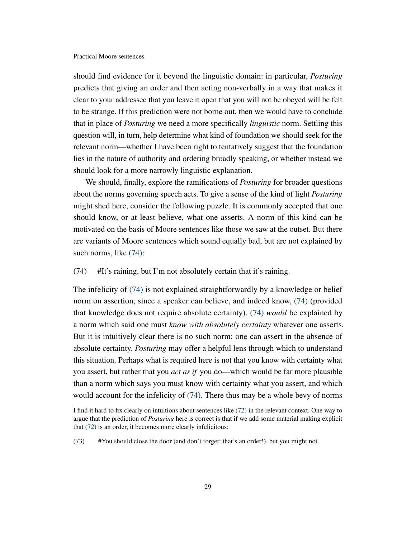should find evidence for it beyond the linguistic domain: in particular, *Posturing* predicts that giving an order and then acting non-verbally in a way that makes it clear to your addressee that you leave it open that you will not be obeyed will be felt to be strange. If this prediction were not borne out, then we would have to conclude that in place of *Posturing* we need a more specifically *linguistic* norm. Settling this question will, in turn, help determine what kind of foundation we should seek for the relevant norm—whether I have been right to tentatively suggest that the foundation lies in the nature of authority and ordering broadly speaking, or whether instead we should look for a more narrowly linguistic explanation.

We should, finally, explore the ramifications of *Posturing* for broader questions about the norms governing speech acts. To give a sense of the kind of light *Posturing* might shed here, consider the following puzzle. It is commonly accepted that one should know, or at least believe, what one asserts. A norm of this kind can be motivated on the basis of Moore sentences like those we saw at the outset. But there are variants of Moore sentences which sound equally bad, but are not explained by such norms, like [\(74\):](#page-28-0)

## <span id="page-28-0"></span>(74) #It's raining, but I'm not absolutely certain that it's raining.

The infelicity of [\(74\)](#page-28-0) is not explained straightforwardly by a knowledge or belief norm on assertion, since a speaker can believe, and indeed know, [\(74\)](#page-28-0) (provided that knowledge does not require absolute certainty). [\(74\)](#page-28-0) *would* be explained by a norm which said one must *know with absolutely certainty* whatever one asserts. But it is intuitively clear there is no such norm: one can assert in the absence of absolute certainty. *Posturing* may offer a helpful lens through which to understand this situation. Perhaps what is required here is not that you know with certainty what you assert, but rather that you *act as if* you do—which would be far more plausible than a norm which says you must know with certainty what you assert, and which would account for the infelicity of [\(74\).](#page-28-0) There thus may be a whole bevy of norms

I find it hard to fix clearly on intuitions about sentences like [\(72\)](#page-27-0) in the relevant context. One way to argue that the prediction of *Posturing* here is correct is that if we add some material making explicit that [\(72\)](#page-27-0) is an order, it becomes more clearly infelicitous:

<sup>(73)</sup> #You should close the door (and don't forget: that's an order!), but you might not.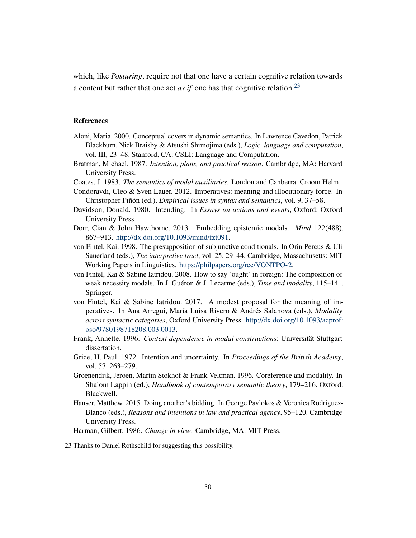which, like *Posturing*, require not that one have a certain cognitive relation towards a content but rather that one act *as if* one has that cognitive relation.<sup>[23](#page-0-3)</sup>

### References

- <span id="page-29-6"></span>Aloni, Maria. 2000. Conceptual covers in dynamic semantics. In Lawrence Cavedon, Patrick Blackburn, Nick Braisby & Atsushi Shimojima (eds.), *Logic, language and computation*, vol. III, 23–48. Stanford, CA: CSLI: Language and Computation.
- <span id="page-29-8"></span>Bratman, Michael. 1987. *Intention, plans, and practical reason*. Cambridge, MA: Harvard University Press.
- <span id="page-29-2"></span>Coates, J. 1983. *The semantics of modal auxiliaries*. London and Canberra: Croom Helm.
- <span id="page-29-1"></span>Condoravdi, Cleo & Sven Lauer. 2012. Imperatives: meaning and illocutionary force. In Christopher Piñón (ed.), *Empirical issues in syntax and semantics*, vol. 9, 37–58.
- <span id="page-29-11"></span>Davidson, Donald. 1980. Intending. In *Essays on actions and events*, Oxford: Oxford University Press.
- <span id="page-29-7"></span>Dorr, Cian & John Hawthorne. 2013. Embedding epistemic modals. *Mind* 122(488). 867–913. [http://dx.doi.org/10.1093/mind/fzt091.](http://dx.doi.org/10.1093/mind/fzt091)
- <span id="page-29-13"></span>von Fintel, Kai. 1998. The presupposition of subjunctive conditionals. In Orin Percus & Uli Sauerland (eds.), *The interpretive tract*, vol. 25, 29–44. Cambridge, Massachusetts: MIT Working Papers in Linguistics. [https://philpapers.org/rec/VONTPO-2.](https://philpapers.org/rec/VONTPO-2)
- <span id="page-29-3"></span>von Fintel, Kai & Sabine Iatridou. 2008. How to say 'ought' in foreign: The composition of weak necessity modals. In J. Guéron & J. Lecarme (eds.), *Time and modality*, 115–141. Springer.
- <span id="page-29-4"></span>von Fintel, Kai & Sabine Iatridou. 2017. A modest proposal for the meaning of imperatives. In Ana Arregui, María Luisa Rivero & Andrés Salanova (eds.), *Modality across syntactic categories*, Oxford University Press. [http://dx.doi.org/10.1093/acprof:](http://dx.doi.org/10.1093/acprof:oso/9780198718208.003.0013) [oso/9780198718208.003.0013.](http://dx.doi.org/10.1093/acprof:oso/9780198718208.003.0013)
- <span id="page-29-0"></span>Frank, Annette. 1996. *Context dependence in modal constructions*: Universität Stuttgart dissertation.
- <span id="page-29-10"></span>Grice, H. Paul. 1972. Intention and uncertainty. In *Proceedings of the British Academy*, vol. 57, 263–279.
- <span id="page-29-5"></span>Groenendijk, Jeroen, Martin Stokhof & Frank Veltman. 1996. Coreference and modality. In Shalom Lappin (ed.), *Handbook of contemporary semantic theory*, 179–216. Oxford: Blackwell.
- <span id="page-29-9"></span>Hanser, Matthew. 2015. Doing another's bidding. In George Pavlokos & Veronica Rodriguez-Blanco (eds.), *Reasons and intentions in law and practical agency*, 95–120. Cambridge University Press.
- <span id="page-29-12"></span>Harman, Gilbert. 1986. *Change in view*. Cambridge, MA: MIT Press.

<sup>23</sup> Thanks to Daniel Rothschild for suggesting this possibility.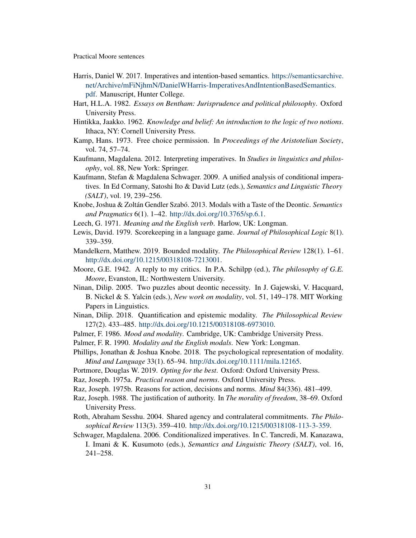- <span id="page-30-4"></span>Harris, Daniel W. 2017. Imperatives and intention-based semantics. [https://semanticsarchive.](https://semanticsarchive.net/Archive/mFiNjhmN/DanielWHarris-ImperativesAndIntentionBasedSemantics.pdf) [net/Archive/mFiNjhmN/DanielWHarris-ImperativesAndIntentionBasedSemantics.](https://semanticsarchive.net/Archive/mFiNjhmN/DanielWHarris-ImperativesAndIntentionBasedSemantics.pdf) [pdf.](https://semanticsarchive.net/Archive/mFiNjhmN/DanielWHarris-ImperativesAndIntentionBasedSemantics.pdf) Manuscript, Hunter College.
- <span id="page-30-16"></span>Hart, H.L.A. 1982. *Essays on Bentham: Jurisprudence and political philosophy*. Oxford University Press.
- <span id="page-30-1"></span>Hintikka, Jaakko. 1962. *Knowledge and belief: An introduction to the logic of two notions*. Ithaca, NY: Cornell University Press.
- <span id="page-30-6"></span>Kamp, Hans. 1973. Free choice permission. In *Proceedings of the Aristotelian Society*, vol. 74, 57–74.
- <span id="page-30-3"></span>Kaufmann, Magdalena. 2012. Interpreting imperatives. In *Studies in linguistics and philosophy*, vol. 88, New York: Springer.
- <span id="page-30-15"></span>Kaufmann, Stefan & Magdalena Schwager. 2009. A unified analysis of conditional imperatives. In Ed Cormany, Satoshi Ito & David Lutz (eds.), *Semantics and Linguistic Theory (SALT)*, vol. 19, 239–256.
- <span id="page-30-11"></span>Knobe, Joshua & Zoltán Gendler Szabó. 2013. Modals with a Taste of the Deontic. *Semantics and Pragmatics* 6(1). 1–42. [http://dx.doi.org/10.3765/sp.6.1.](http://dx.doi.org/10.3765/sp.6.1)
- <span id="page-30-5"></span>Leech, G. 1971. *Meaning and the English verb*. Harlow, UK: Longman.
- <span id="page-30-8"></span>Lewis, David. 1979. Scorekeeping in a language game. *Journal of Philosophical Logic* 8(1). 339–359.
- <span id="page-30-10"></span>Mandelkern, Matthew. 2019. Bounded modality. *The Philosophical Review* 128(1). 1–61. [http://dx.doi.org/10.1215/00318108-7213001.](http://dx.doi.org/10.1215/00318108-7213001)
- <span id="page-30-0"></span>Moore, G.E. 1942. A reply to my critics. In P.A. Schilpp (ed.), *The philosophy of G.E. Moore*, Evanston, IL: Northwestern University.
- <span id="page-30-2"></span>Ninan, Dilip. 2005. Two puzzles about deontic necessity. In J. Gajewski, V. Hacquard, B. Nickel & S. Yalcin (eds.), *New work on modality*, vol. 51, 149–178. MIT Working Papers in Linguistics.
- <span id="page-30-9"></span>Ninan, Dilip. 2018. Quantification and epistemic modality. *The Philosophical Review* 127(2). 433–485. [http://dx.doi.org/10.1215/00318108-6973010.](http://dx.doi.org/10.1215/00318108-6973010)
- <span id="page-30-7"></span>Palmer, F. 1986. *Mood and modality*. Cambridge, UK: Cambridge University Press.
- <span id="page-30-13"></span>Palmer, F. R. 1990. *Modality and the English modals*. New York: Longman.
- <span id="page-30-12"></span>Phillips, Jonathan & Joshua Knobe. 2018. The psychological representation of modality. *Mind and Language* 33(1). 65–94. [http://dx.doi.org/10.1111/mila.12165.](http://dx.doi.org/10.1111/mila.12165)
- <span id="page-30-21"></span><span id="page-30-17"></span>Portmore, Douglas W. 2019. *Opting for the best*. Oxford: Oxford University Press.
- Raz, Joseph. 1975a. *Practical reason and norms*. Oxford University Press.
- <span id="page-30-18"></span>Raz, Joseph. 1975b. Reasons for action, decisions and norms. *Mind* 84(336). 481–499.
- <span id="page-30-19"></span>Raz, Joseph. 1988. The justification of authority. In *The morality of freedom*, 38–69. Oxford University Press.
- <span id="page-30-20"></span>Roth, Abraham Sesshu. 2004. Shared agency and contralateral commitments. *The Philosophical Review* 113(3). 359–410. [http://dx.doi.org/10.1215/00318108-113-3-359.](http://dx.doi.org/10.1215/00318108-113-3-359)
- <span id="page-30-14"></span>Schwager, Magdalena. 2006. Conditionalized imperatives. In C. Tancredi, M. Kanazawa, I. Imani & K. Kusumoto (eds.), *Semantics and Linguistic Theory (SALT)*, vol. 16, 241–258.